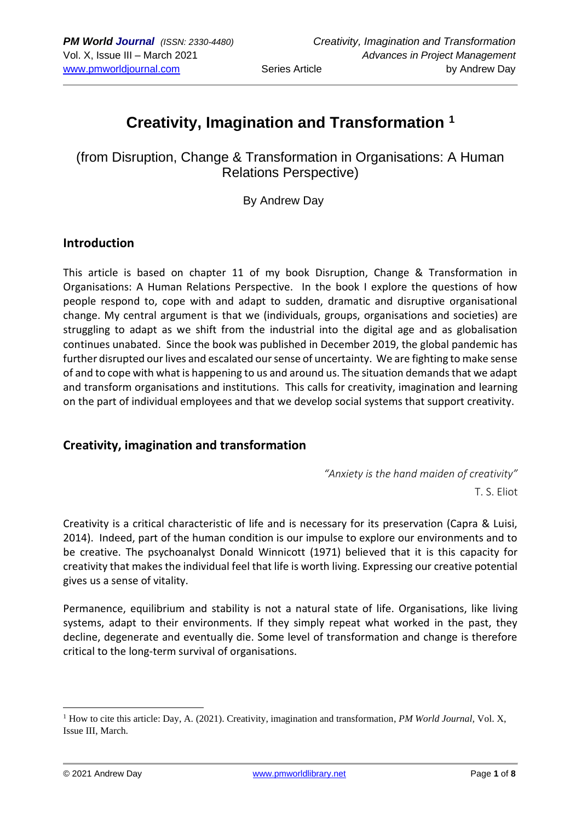# **Creativity, Imagination and Transformation <sup>1</sup>**

(from Disruption, Change & Transformation in Organisations: A Human Relations Perspective)

By Andrew Day

### **Introduction**

This article is based on chapter 11 of my book Disruption, Change & Transformation in Organisations: A Human Relations Perspective. In the book I explore the questions of how people respond to, cope with and adapt to sudden, dramatic and disruptive organisational change. My central argument is that we (individuals, groups, organisations and societies) are struggling to adapt as we shift from the industrial into the digital age and as globalisation continues unabated. Since the book was published in December 2019, the global pandemic has further disrupted our lives and escalated our sense of uncertainty. We are fighting to make sense of and to cope with what is happening to us and around us. The situation demands that we adapt and transform organisations and institutions. This calls for creativity, imagination and learning on the part of individual employees and that we develop social systems that support creativity.

## **Creativity, imagination and transformation**

*"Anxiety is the hand maiden of creativity"* T. S. Eliot

Creativity is a critical characteristic of life and is necessary for its preservation (Capra & Luisi, 2014). Indeed, part of the human condition is our impulse to explore our environments and to be creative. The psychoanalyst Donald Winnicott (1971) believed that it is this capacity for creativity that makes the individual feel that life is worth living. Expressing our creative potential gives us a sense of vitality.

Permanence, equilibrium and stability is not a natural state of life. Organisations, like living systems, adapt to their environments. If they simply repeat what worked in the past, they decline, degenerate and eventually die. Some level of transformation and change is therefore critical to the long-term survival of organisations.

<sup>&</sup>lt;sup>1</sup> How to cite this article: Day, A. (2021). Creativity, imagination and transformation, *PM World Journal*, Vol. X, Issue III, March.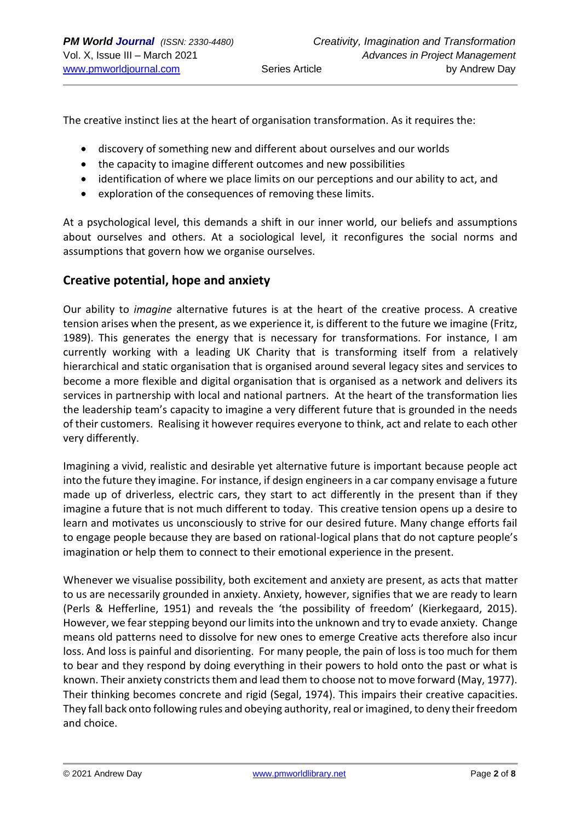The creative instinct lies at the heart of organisation transformation. As it requires the:

- discovery of something new and different about ourselves and our worlds
- the capacity to imagine different outcomes and new possibilities
- identification of where we place limits on our perceptions and our ability to act, and
- exploration of the consequences of removing these limits.

At a psychological level, this demands a shift in our inner world, our beliefs and assumptions about ourselves and others. At a sociological level, it reconfigures the social norms and assumptions that govern how we organise ourselves.

### **Creative potential, hope and anxiety**

Our ability to *imagine* alternative futures is at the heart of the creative process. A creative tension arises when the present, as we experience it, is different to the future we imagine (Fritz, 1989). This generates the energy that is necessary for transformations. For instance, I am currently working with a leading UK Charity that is transforming itself from a relatively hierarchical and static organisation that is organised around several legacy sites and services to become a more flexible and digital organisation that is organised as a network and delivers its services in partnership with local and national partners. At the heart of the transformation lies the leadership team's capacity to imagine a very different future that is grounded in the needs of their customers. Realising it however requires everyone to think, act and relate to each other very differently.

Imagining a vivid, realistic and desirable yet alternative future is important because people act into the future they imagine. For instance, if design engineers in a car company envisage a future made up of driverless, electric cars, they start to act differently in the present than if they imagine a future that is not much different to today. This creative tension opens up a desire to learn and motivates us unconsciously to strive for our desired future. Many change efforts fail to engage people because they are based on rational-logical plans that do not capture people's imagination or help them to connect to their emotional experience in the present.

Whenever we visualise possibility, both excitement and anxiety are present, as acts that matter to us are necessarily grounded in anxiety. Anxiety, however, signifies that we are ready to learn (Perls & Hefferline, 1951) and reveals the 'the possibility of freedom' (Kierkegaard, 2015). However, we fear stepping beyond our limits into the unknown and try to evade anxiety. Change means old patterns need to dissolve for new ones to emerge Creative acts therefore also incur loss. And loss is painful and disorienting. For many people, the pain of loss is too much for them to bear and they respond by doing everything in their powers to hold onto the past or what is known. Their anxiety constricts them and lead them to choose not to move forward (May, 1977). Their thinking becomes concrete and rigid (Segal, 1974). This impairs their creative capacities. They fall back onto following rules and obeying authority, real or imagined, to deny their freedom and choice.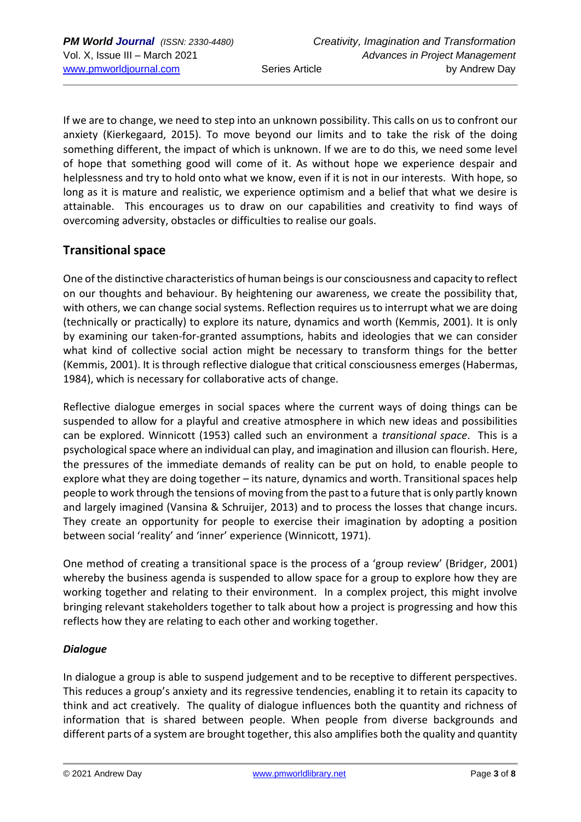If we are to change, we need to step into an unknown possibility. This calls on us to confront our anxiety (Kierkegaard, 2015). To move beyond our limits and to take the risk of the doing something different, the impact of which is unknown. If we are to do this, we need some level of hope that something good will come of it. As without hope we experience despair and helplessness and try to hold onto what we know, even if it is not in our interests. With hope, so long as it is mature and realistic, we experience optimism and a belief that what we desire is attainable. This encourages us to draw on our capabilities and creativity to find ways of overcoming adversity, obstacles or difficulties to realise our goals.

# **Transitional space**

One of the distinctive characteristics of human beings is our consciousness and capacity to reflect on our thoughts and behaviour. By heightening our awareness, we create the possibility that, with others, we can change social systems. Reflection requires us to interrupt what we are doing (technically or practically) to explore its nature, dynamics and worth (Kemmis, 2001). It is only by examining our taken-for-granted assumptions, habits and ideologies that we can consider what kind of collective social action might be necessary to transform things for the better (Kemmis, 2001). It is through reflective dialogue that critical consciousness emerges (Habermas, 1984), which is necessary for collaborative acts of change.

Reflective dialogue emerges in social spaces where the current ways of doing things can be suspended to allow for a playful and creative atmosphere in which new ideas and possibilities can be explored. Winnicott (1953) called such an environment a *transitional space*. This is a psychological space where an individual can play, and imagination and illusion can flourish. Here, the pressures of the immediate demands of reality can be put on hold, to enable people to explore what they are doing together – its nature, dynamics and worth. Transitional spaces help people to work through the tensions of moving from the past to a future that is only partly known and largely imagined (Vansina & Schruijer, 2013) and to process the losses that change incurs. They create an opportunity for people to exercise their imagination by adopting a position between social 'reality' and 'inner' experience (Winnicott, 1971).

One method of creating a transitional space is the process of a 'group review' (Bridger, 2001) whereby the business agenda is suspended to allow space for a group to explore how they are working together and relating to their environment. In a complex project, this might involve bringing relevant stakeholders together to talk about how a project is progressing and how this reflects how they are relating to each other and working together.

### *Dialogue*

In dialogue a group is able to suspend judgement and to be receptive to different perspectives. This reduces a group's anxiety and its regressive tendencies, enabling it to retain its capacity to think and act creatively. The quality of dialogue influences both the quantity and richness of information that is shared between people. When people from diverse backgrounds and different parts of a system are brought together, this also amplifies both the quality and quantity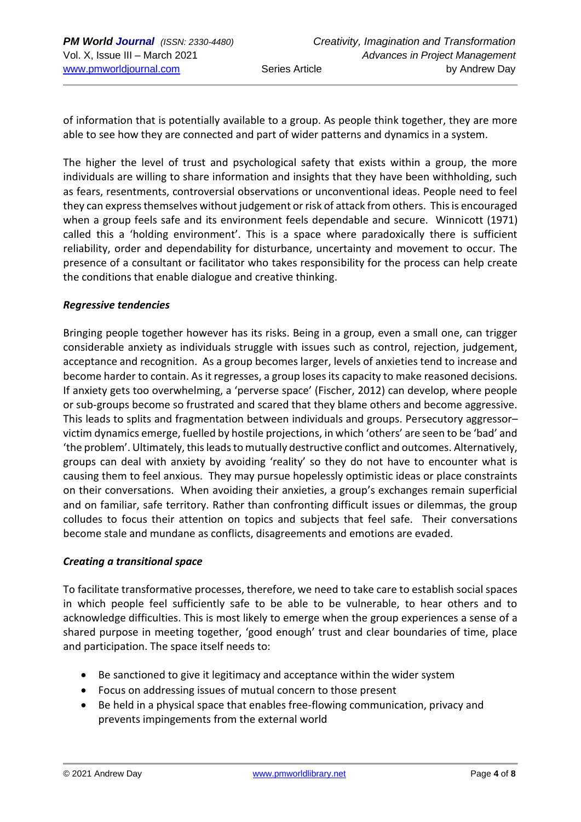of information that is potentially available to a group. As people think together, they are more able to see how they are connected and part of wider patterns and dynamics in a system.

The higher the level of trust and psychological safety that exists within a group, the more individuals are willing to share information and insights that they have been withholding, such as fears, resentments, controversial observations or unconventional ideas. People need to feel they can express themselves without judgement or risk of attack from others. This is encouraged when a group feels safe and its environment feels dependable and secure. Winnicott (1971) called this a 'holding environment'. This is a space where paradoxically there is sufficient reliability, order and dependability for disturbance, uncertainty and movement to occur. The presence of a consultant or facilitator who takes responsibility for the process can help create the conditions that enable dialogue and creative thinking.

#### *Regressive tendencies*

Bringing people together however has its risks. Being in a group, even a small one, can trigger considerable anxiety as individuals struggle with issues such as control, rejection, judgement, acceptance and recognition. As a group becomes larger, levels of anxieties tend to increase and become harder to contain. As it regresses, a group loses its capacity to make reasoned decisions. If anxiety gets too overwhelming, a 'perverse space' (Fischer, 2012) can develop, where people or sub-groups become so frustrated and scared that they blame others and become aggressive. This leads to splits and fragmentation between individuals and groups. Persecutory aggressor– victim dynamics emerge, fuelled by hostile projections, in which 'others' are seen to be 'bad' and 'the problem'. Ultimately, this leads to mutually destructive conflict and outcomes. Alternatively, groups can deal with anxiety by avoiding 'reality' so they do not have to encounter what is causing them to feel anxious. They may pursue hopelessly optimistic ideas or place constraints on their conversations. When avoiding their anxieties, a group's exchanges remain superficial and on familiar, safe territory. Rather than confronting difficult issues or dilemmas, the group colludes to focus their attention on topics and subjects that feel safe. Their conversations become stale and mundane as conflicts, disagreements and emotions are evaded.

#### *Creating a transitional space*

To facilitate transformative processes, therefore, we need to take care to establish social spaces in which people feel sufficiently safe to be able to be vulnerable, to hear others and to acknowledge difficulties. This is most likely to emerge when the group experiences a sense of a shared purpose in meeting together, 'good enough' trust and clear boundaries of time, place and participation. The space itself needs to:

- Be sanctioned to give it legitimacy and acceptance within the wider system
- Focus on addressing issues of mutual concern to those present
- Be held in a physical space that enables free-flowing communication, privacy and prevents impingements from the external world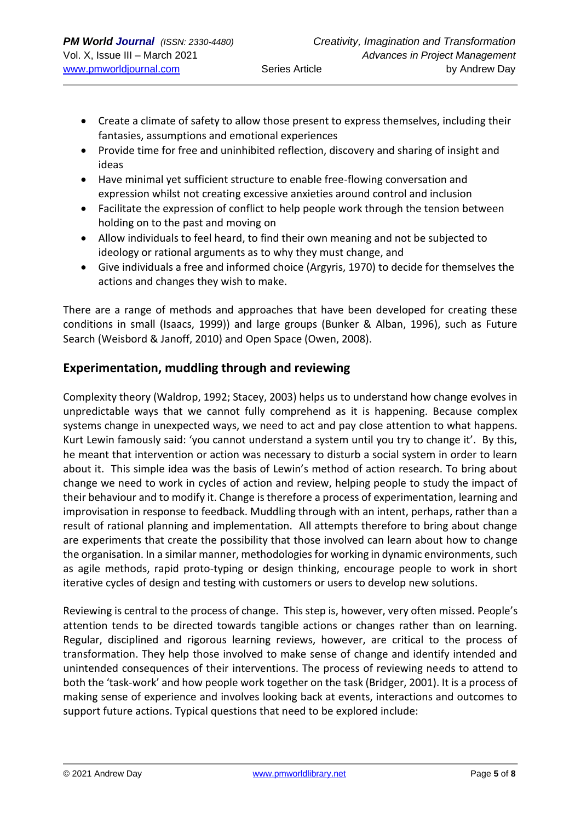- Create a climate of safety to allow those present to express themselves, including their fantasies, assumptions and emotional experiences
- Provide time for free and uninhibited reflection, discovery and sharing of insight and ideas
- Have minimal yet sufficient structure to enable free-flowing conversation and expression whilst not creating excessive anxieties around control and inclusion
- Facilitate the expression of conflict to help people work through the tension between holding on to the past and moving on
- Allow individuals to feel heard, to find their own meaning and not be subjected to ideology or rational arguments as to why they must change, and
- Give individuals a free and informed choice (Argyris, 1970) to decide for themselves the actions and changes they wish to make.

There are a range of methods and approaches that have been developed for creating these conditions in small (Isaacs, 1999)) and large groups (Bunker & Alban, 1996), such as Future Search (Weisbord & Janoff, 2010) and Open Space (Owen, 2008).

# **Experimentation, muddling through and reviewing**

Complexity theory (Waldrop, 1992; Stacey, 2003) helps us to understand how change evolves in unpredictable ways that we cannot fully comprehend as it is happening. Because complex systems change in unexpected ways, we need to act and pay close attention to what happens. Kurt Lewin famously said: 'you cannot understand a system until you try to change it'. By this, he meant that intervention or action was necessary to disturb a social system in order to learn about it. This simple idea was the basis of Lewin's method of action research. To bring about change we need to work in cycles of action and review, helping people to study the impact of their behaviour and to modify it. Change is therefore a process of experimentation, learning and improvisation in response to feedback. Muddling through with an intent, perhaps, rather than a result of rational planning and implementation. All attempts therefore to bring about change are experiments that create the possibility that those involved can learn about how to change the organisation. In a similar manner, methodologies for working in dynamic environments, such as agile methods, rapid proto-typing or design thinking, encourage people to work in short iterative cycles of design and testing with customers or users to develop new solutions.

Reviewing is central to the process of change. This step is, however, very often missed. People's attention tends to be directed towards tangible actions or changes rather than on learning. Regular, disciplined and rigorous learning reviews, however, are critical to the process of transformation. They help those involved to make sense of change and identify intended and unintended consequences of their interventions. The process of reviewing needs to attend to both the 'task-work' and how people work together on the task (Bridger, 2001). It is a process of making sense of experience and involves looking back at events, interactions and outcomes to support future actions. Typical questions that need to be explored include: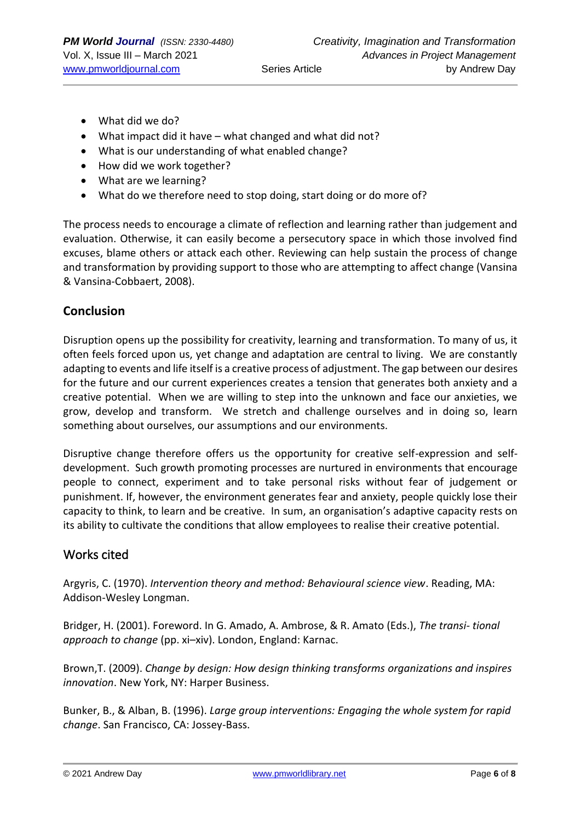- What did we do?
- What impact did it have what changed and what did not?
- What is our understanding of what enabled change?
- How did we work together?
- What are we learning?
- What do we therefore need to stop doing, start doing or do more of?

The process needs to encourage a climate of reflection and learning rather than judgement and evaluation. Otherwise, it can easily become a persecutory space in which those involved find excuses, blame others or attack each other. Reviewing can help sustain the process of change and transformation by providing support to those who are attempting to affect change (Vansina & Vansina-Cobbaert, 2008).

### **Conclusion**

Disruption opens up the possibility for creativity, learning and transformation. To many of us, it often feels forced upon us, yet change and adaptation are central to living. We are constantly adapting to events and life itself is a creative process of adjustment. The gap between our desires for the future and our current experiences creates a tension that generates both anxiety and a creative potential. When we are willing to step into the unknown and face our anxieties, we grow, develop and transform. We stretch and challenge ourselves and in doing so, learn something about ourselves, our assumptions and our environments.

Disruptive change therefore offers us the opportunity for creative self-expression and selfdevelopment. Such growth promoting processes are nurtured in environments that encourage people to connect, experiment and to take personal risks without fear of judgement or punishment. If, however, the environment generates fear and anxiety, people quickly lose their capacity to think, to learn and be creative. In sum, an organisation's adaptive capacity rests on its ability to cultivate the conditions that allow employees to realise their creative potential.

## Works cited

Argyris, C. (1970). *Intervention theory and method: Behavioural science view*. Reading, MA: Addison-Wesley Longman.

Bridger, H. (2001). Foreword. In G. Amado, A. Ambrose, & R. Amato (Eds.), *The transi- tional approach to change* (pp. xi–xiv). London, England: Karnac.

Brown,T. (2009). *Change by design: How design thinking transforms organizations and inspires innovation*. New York, NY: Harper Business.

Bunker, B., & Alban, B. (1996). *Large group interventions: Engaging the whole system for rapid change*. San Francisco, CA: Jossey-Bass.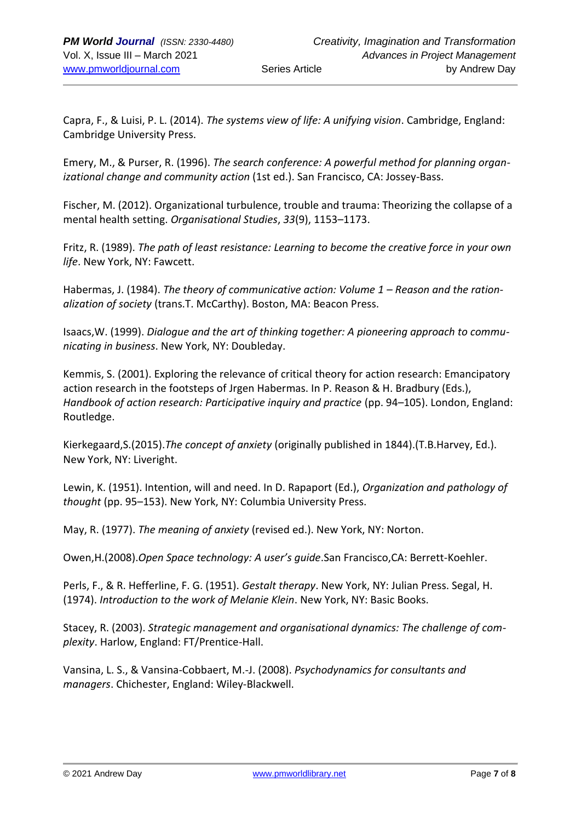Capra, F., & Luisi, P. L. (2014). *The systems view of life: A unifying vision*. Cambridge, England: Cambridge University Press.

Emery, M., & Purser, R. (1996). *The search conference: A powerful method for planning organizational change and community action* (1st ed.). San Francisco, CA: Jossey-Bass.

Fischer, M. (2012). Organizational turbulence, trouble and trauma: Theorizing the collapse of a mental health setting. *Organisational Studies*, *33*(9), 1153–1173.

Fritz, R. (1989). *The path of least resistance: Learning to become the creative force in your own life*. New York, NY: Fawcett.

Habermas, J. (1984). *The theory of communicative action: Volume 1 – Reason and the rationalization of society* (trans.T. McCarthy). Boston, MA: Beacon Press.

Isaacs,W. (1999). *Dialogue and the art of thinking together: A pioneering approach to communicating in business*. New York, NY: Doubleday.

Kemmis, S. (2001). Exploring the relevance of critical theory for action research: Emancipatory action research in the footsteps of Jrgen Habermas. In P. Reason & H. Bradbury (Eds.), *Handbook of action research: Participative inquiry and practice (pp. 94–105). London, England:* Routledge.

Kierkegaard,S.(2015).*The concept of anxiety* (originally published in 1844).(T.B.Harvey, Ed.). New York, NY: Liveright.

Lewin, K. (1951). Intention, will and need. In D. Rapaport (Ed.), *Organization and pathology of thought* (pp. 95–153). New York, NY: Columbia University Press.

May, R. (1977). *The meaning of anxiety* (revised ed.). New York, NY: Norton.

Owen,H.(2008).*Open Space technology: A user's guide*.San Francisco,CA: Berrett-Koehler.

Perls, F., & R. Hefferline, F. G. (1951). *Gestalt therapy*. New York, NY: Julian Press. Segal, H. (1974). *Introduction to the work of Melanie Klein*. New York, NY: Basic Books.

Stacey, R. (2003). *Strategic management and organisational dynamics: The challenge of complexity*. Harlow, England: FT/Prentice-Hall.

Vansina, L. S., & Vansina-Cobbaert, M.-J. (2008). *Psychodynamics for consultants and managers*. Chichester, England: Wiley-Blackwell.